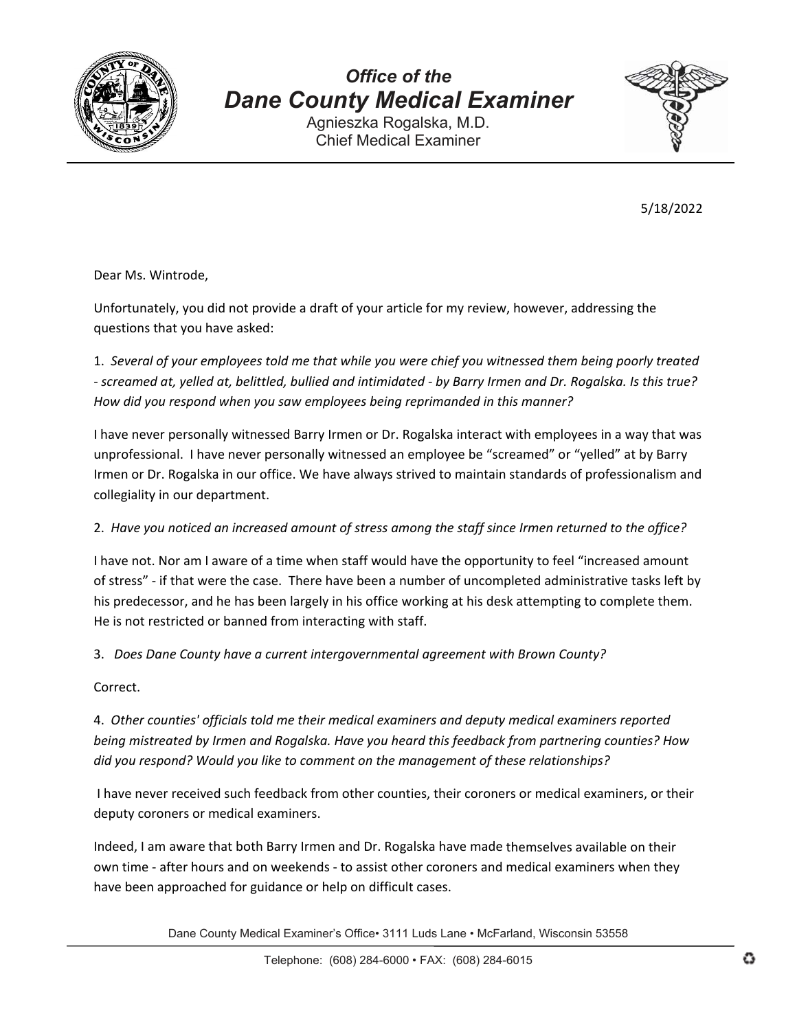

Agnieszka Rogalska, M.D. Chief Medical Examiner



5/18/2022

Dear Ms. Wintrode,

Unfortunately, you did not provide a draft of your article for my review, however, addressing the questions that you have asked:

1. *Several of your employees told me that while you were chief you witnessed them being poorly treated* - screamed at, yelled at, belittled, bullied and intimidated - by Barry Irmen and Dr. Rogalska. Is this true? *How did you respond when you saw employees being reprimanded in this manner?* 

I have never personally witnessed Barry Irmen or Dr. Rogalska interact with employees in a way that was unprofessional. I have never personally witnessed an employee be "screamed" or "yelled" at by Barry Irmen or Dr. Rogalska in our office. We have always strived to maintain standards of professionalism and collegiality in our department.

#### 2. *Have you noticed an increased amount of stress among the staff since Irmen returned to the office?*

I have not. Nor am I aware of a time when staff would have the opportunity to feel "increased amount of stress" ‐ if that were the case. There have been a number of uncompleted administrative tasks left by his predecessor, and he has been largely in his office working at his desk attempting to complete them. He is not restricted or banned from interacting with staff.

3. *Does Dane County have a current intergovernmental agreement with Brown County?* 

Correct.

4. *Other counties' officials told me their medical examiners and deputy medical examiners reported being mistreated by Irmen and Rogalska. Have you heard this feedback from partnering counties? How did you respond? Would you like to comment on the management of these relationships?* 

I have never received such feedback from other counties, their coroners or medical examiners, or their deputy coroners or medical examiners.

Indeed, I am aware that both Barry Irmen and Dr. Rogalska have made themselves available on their own time ‐ after hours and on weekends ‐ to assist other coroners and medical examiners when they have been approached for guidance or help on difficult cases.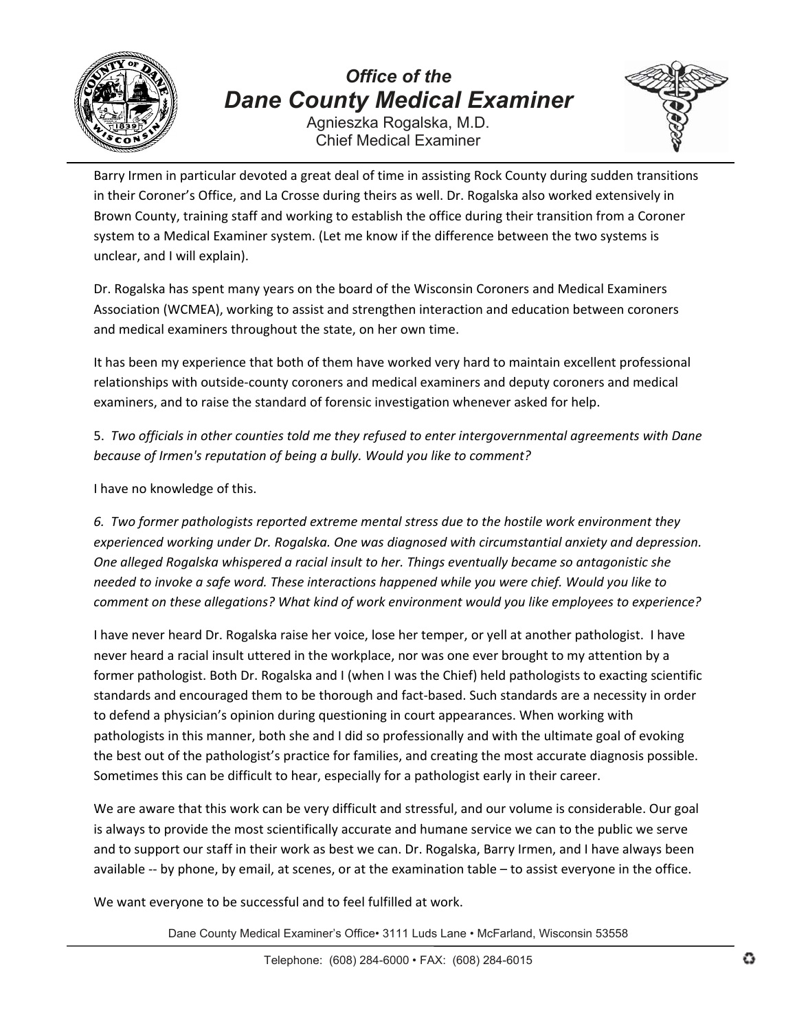

Agnieszka Rogalska, M.D. Chief Medical Examiner



Barry Irmen in particular devoted a great deal of time in assisting Rock County during sudden transitions in their Coroner's Office, and La Crosse during theirs as well. Dr. Rogalska also worked extensively in Brown County, training staff and working to establish the office during their transition from a Coroner system to a Medical Examiner system. (Let me know if the difference between the two systems is unclear, and I will explain).

Dr. Rogalska has spent many years on the board of the Wisconsin Coroners and Medical Examiners Association (WCMEA), working to assist and strengthen interaction and education between coroners and medical examiners throughout the state, on her own time.

It has been my experience that both of them have worked very hard to maintain excellent professional relationships with outside‐county coroners and medical examiners and deputy coroners and medical examiners, and to raise the standard of forensic investigation whenever asked for help.

5. *Two officials in other counties told me they refused to enter intergovernmental agreements with Dane because of Irmen's reputation of being a bully. Would you like to comment?*

I have no knowledge of this.

*6. Two former pathologists reported extreme mental stress due to the hostile work environment they experienced working under Dr. Rogalska. One was diagnosed with circumstantial anxiety and depression. One alleged Rogalska whispered a racial insult to her. Things eventually became so antagonistic she needed to invoke a safe word. These interactions happened while you were chief. Would you like to comment on these allegations? What kind of work environment would you like employees to experience?* 

I have never heard Dr. Rogalska raise her voice, lose her temper, or yell at another pathologist. I have never heard a racial insult uttered in the workplace, nor was one ever brought to my attention by a former pathologist. Both Dr. Rogalska and I (when I was the Chief) held pathologists to exacting scientific standards and encouraged them to be thorough and fact‐based. Such standards are a necessity in order to defend a physician's opinion during questioning in court appearances. When working with pathologists in this manner, both she and I did so professionally and with the ultimate goal of evoking the best out of the pathologist's practice for families, and creating the most accurate diagnosis possible. Sometimes this can be difficult to hear, especially for a pathologist early in their career.

We are aware that this work can be very difficult and stressful, and our volume is considerable. Our goal is always to provide the most scientifically accurate and humane service we can to the public we serve and to support our staff in their work as best we can. Dr. Rogalska, Barry Irmen, and I have always been available ‐‐ by phone, by email, at scenes, or at the examination table – to assist everyone in the office.

We want everyone to be successful and to feel fulfilled at work.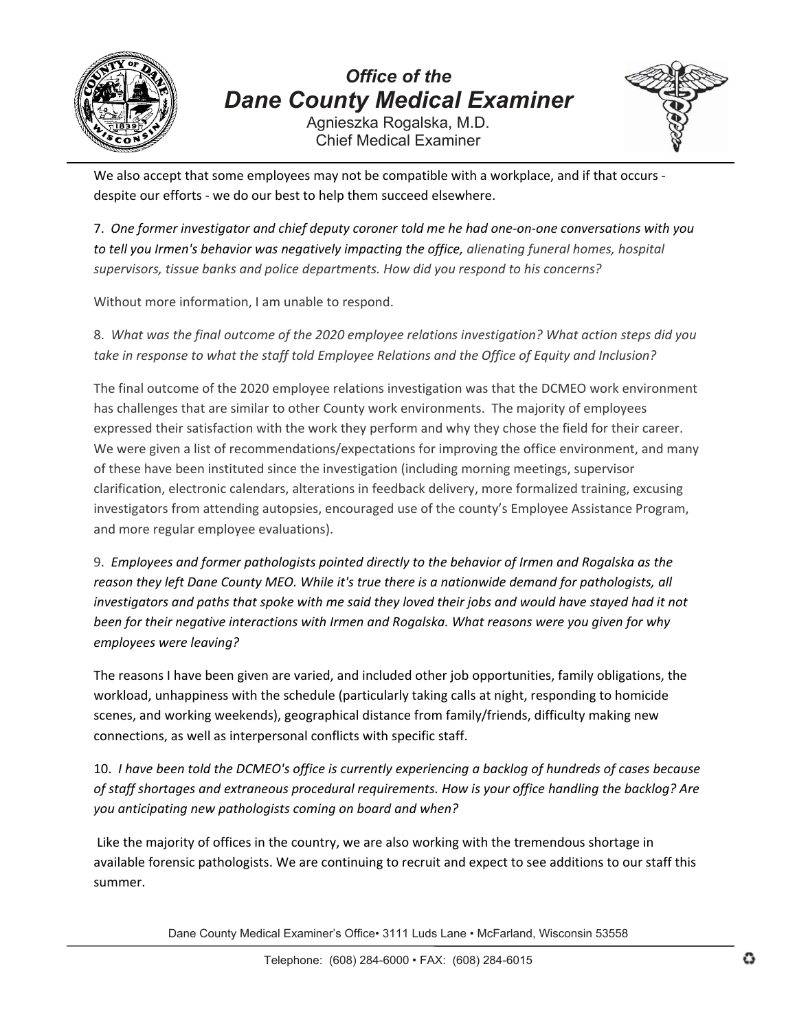

Agnieszka Rogalska, M.D. Chief Medical Examiner



We also accept that some employees may not be compatible with a workplace, and if that occurs despite our efforts ‐ we do our best to help them succeed elsewhere.

7. One former investigator and chief deputy coroner told me he had one-on-one conversations with you *to tell you Irmen's behavior was negatively impacting the office, alienating funeral homes, hospital supervisors, tissue banks and police departments. How did you respond to his concerns?* 

Without more information, I am unable to respond.

8. *What was the final outcome of the 2020 employee relations investigation? What action steps did you* take in response to what the staff told Employee Relations and the Office of Equity and Inclusion?

The final outcome of the 2020 employee relations investigation was that the DCMEO work environment has challenges that are similar to other County work environments. The majority of employees expressed their satisfaction with the work they perform and why they chose the field for their career. We were given a list of recommendations/expectations for improving the office environment, and many of these have been instituted since the investigation (including morning meetings, supervisor clarification, electronic calendars, alterations in feedback delivery, more formalized training, excusing investigators from attending autopsies, encouraged use of the county's Employee Assistance Program, and more regular employee evaluations).

9. *Employees and former pathologists pointed directly to the behavior of Irmen and Rogalska as the reason they left Dane County MEO. While it's true there is a nationwide demand for pathologists, all* investigators and paths that spoke with me said they loved their jobs and would have stayed had it not *been for their negative interactions with Irmen and Rogalska. What reasons were you given for why employees were leaving?* 

The reasons I have been given are varied, and included other job opportunities, family obligations, the workload, unhappiness with the schedule (particularly taking calls at night, responding to homicide scenes, and working weekends), geographical distance from family/friends, difficulty making new connections, as well as interpersonal conflicts with specific staff.

10. *I have been told the DCMEO's office is currently experiencing a backlog of hundreds of cases because of staff shortages and extraneous procedural requirements. How is your office handling the backlog? Are you anticipating new pathologists coming on board and when?* 

Like the majority of offices in the country, we are also working with the tremendous shortage in available forensic pathologists. We are continuing to recruit and expect to see additions to our staff this summer.